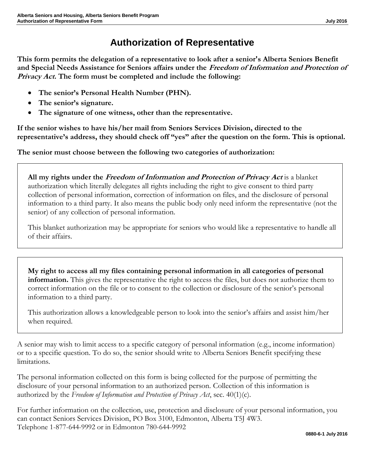## **Authorization of Representative**

**This form permits the delegation of a representative to look after a senior's Alberta Seniors Benefit and Special Needs Assistance for Seniors affairs under the Freedom of Information and Protection of Privacy Act. The form must be completed and include the following:**

- **The senior's Personal Health Number (PHN).**
- **The senior's signature.**
- **The signature of one witness, other than the representative.**

**If the senior wishes to have his/her mail from Seniors Services Division, directed to the representative's address, they should check off "yes" after the question on the form. This is optional.**

**The senior must choose between the following two categories of authorization:**

**All my rights under the Freedom of Information and Protection of Privacy Act** is a blanket authorization which literally delegates all rights including the right to give consent to third party collection of personal information, correction of information on files, and the disclosure of personal information to a third party. It also means the public body only need inform the representative (not the senior) of any collection of personal information.

This blanket authorization may be appropriate for seniors who would like a representative to handle all of their affairs.

**My right to access all my files containing personal information in all categories of personal information.** This gives the representative the right to access the files, but does not authorize them to correct information on the file or to consent to the collection or disclosure of the senior's personal information to a third party.

This authorization allows a knowledgeable person to look into the senior's affairs and assist him/her when required.

A senior may wish to limit access to a specific category of personal information (e.g., income information) or to a specific question. To do so, the senior should write to Alberta Seniors Benefit specifying these limitations.

The personal information collected on this form is being collected for the purpose of permitting the disclosure of your personal information to an authorized person. Collection of this information is authorized by the *Freedom of Information and Protection of Privacy Act*, sec. 40(1)(c).

For further information on the collection, use, protection and disclosure of your personal information, you can contact Seniors Services Division, PO Box 3100, Edmonton, Alberta T5J 4W3. Telephone 1-877-644-9992 or in Edmonton 780-644-9992